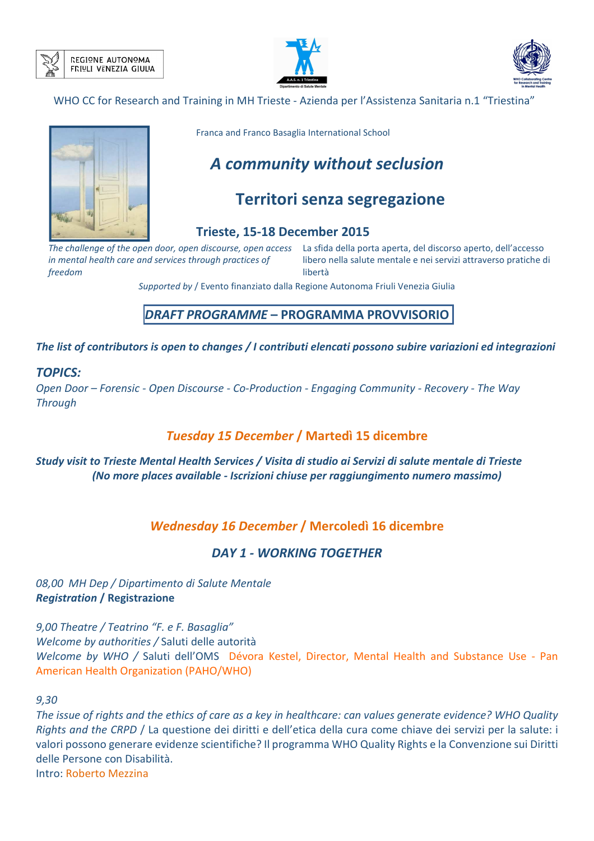







Franca and Franco Basaglia International School

# *A community without seclusion*

# **Territori senza segregazione**

## **Trieste, 15-18 December 2015**

*in mental health care and services through practices of freedom*

*The challenge of the open door, open discourse, open access*  La sfida della porta aperta, del discorso aperto, dell'accesso libero nella salute mentale e nei servizi attraverso pratiche di libertà

*Supported by* / Evento finanziato dalla Regione Autonoma Friuli Venezia Giulia

# *DRAFT PROGRAMME* **– PROGRAMMA PROVVISORIO**

*The list of contributors is open to changes / I contributi elencati possono subire variazioni ed integrazioni* 

### *TOPICS:*

*Open Door – Forensic - Open Discourse - Co-Production - Engaging Community - Recovery - The Way Through*

# *Tuesday 15 December* **/ Martedì 15 dicembre**

## *Study visit to Trieste Mental Health Services / Visita di studio ai Servizi di salute mentale di Trieste (No more places available - Iscrizioni chiuse per raggiungimento numero massimo)*

# *Wednesday 16 December* **/ Mercoledì 16 dicembre**

# *DAY 1 - WORKING TOGETHER*

## *08,00 MH Dep / Dipartimento di Salute Mentale Registration* **/ Registrazione**

*9,00 Theatre / Teatrino "F. e F. Basaglia" Welcome by authorities /* Saluti delle autorità *Welcome by WHO /* Saluti dell'OMS Dévora Kestel, Director, Mental Health and Substance Use - Pan American Health Organization (PAHO/WHO)

#### *9,30*

*The issue of rights and the ethics of care as a key in healthcare: can values generate evidence? WHO Quality Rights and the CRPD* / La questione dei diritti e dell'etica della cura come chiave dei servizi per la salute: i valori possono generare evidenze scientifiche? Il programma WHO Quality Rights e la Convenzione sui Diritti delle Persone con Disabilità. Intro: Roberto Mezzina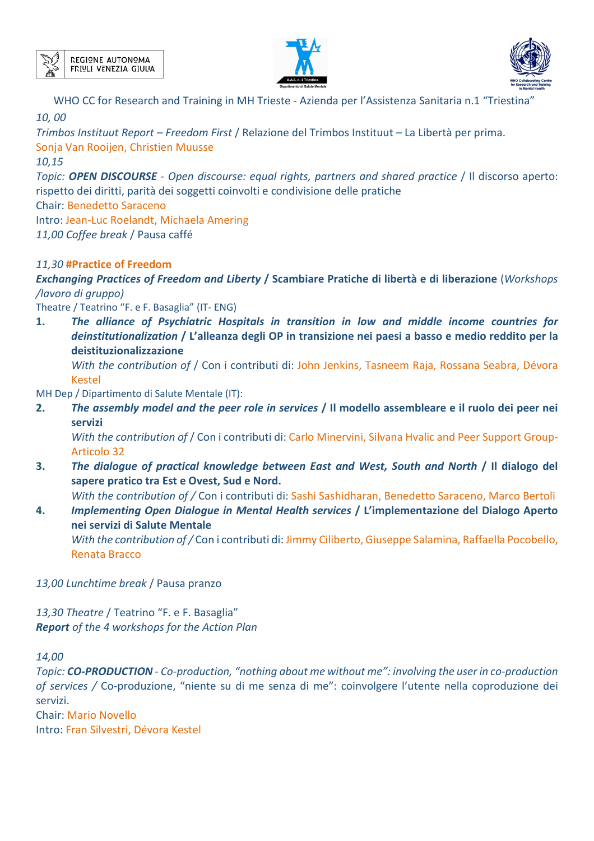





*Trimbos Instituut Report – Freedom First* / Relazione del Trimbos Instituut – La Libertà per prima. Sonja Van Rooijen, Christien Muusse

*10,15* 

*Topic: OPEN DISCOURSE* - Open discourse: equal rights, partners and shared practice / Il discorso aperto: rispetto dei diritti, parità dei soggetti coinvolti e condivisione delle pratiche

Chair: Benedetto Saraceno

Intro: Jean-Luc Roelandt, Michaela Amering

*11,00 Coffee break* / Pausa caffé

## *11,30* **#Practice of Freedom**

*Exchanging Practices of Freedom and Liberty* **/ Scambiare Pratiche di libertà e di liberazione** (*Workshops /lavoro di gruppo)* 

Theatre / Teatrino "F. e F. Basaglia" (IT- ENG)

**1.** *The alliance of Psychiatric Hospitals in transition in low and middle income countries for deinstitutionalization* **/ L'alleanza degli OP in transizione nei paesi a basso e medio reddito per la deistituzionalizzazione** 

*With the contribution of* / Con i contributi di: John Jenkins, Tasneem Raja, Rossana Seabra, Dévora Kestel

MH Dep / Dipartimento di Salute Mentale (IT):

**2.** *The assembly model and the peer role in services* **/ Il modello assembleare e il ruolo dei peer nei servizi** 

*With the contribution of* / Con i contributi di: Carlo Minervini, Silvana Hvalic and Peer Support Group-Articolo 32

**3.** *The dialogue of practical knowledge between East and West, South and North* **/ Il dialogo del sapere pratico tra Est e Ovest, Sud e Nord.** 

*With the contribution of /* Con i contributi di: Sashi Sashidharan, Benedetto Saraceno, Marco Bertoli

**4.** *Implementing Open Dialogue in Mental Health services* **/ L'implementazione del Dialogo Aperto nei servizi di Salute Mentale** 

*With the contribution of /* Con i contributi di: Jimmy Ciliberto, Giuseppe Salamina, Raffaella Pocobello, Renata Bracco

*13,00 Lunchtime break* / Pausa pranzo

*13,30 Theatre* / Teatrino "F. e F. Basaglia" *Report of the 4 workshops for the Action Plan* 

*14,00* 

*Topic: CO-PRODUCTION - Co-production, "nothing about me without me": involving the user in co-production of services /* Co-produzione, "niente su di me senza di me": coinvolgere l'utente nella coproduzione dei servizi.

Chair: Mario Novello Intro: Fran Silvestri, Dévora Kestel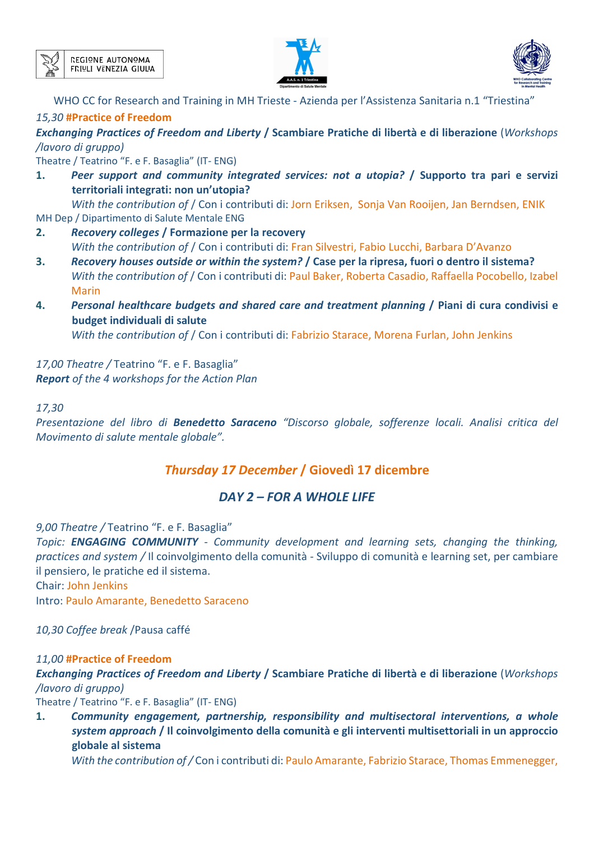





# *15,30* **#Practice of Freedom**

*Exchanging Practices of Freedom and Liberty* **/ Scambiare Pratiche di libertà e di liberazione** (*Workshops /lavoro di gruppo)* 

Theatre / Teatrino "F. e F. Basaglia" (IT- ENG)

**1.** *Peer support and community integrated services: not a utopia?* **/ Supporto tra pari e servizi territoriali integrati: non un'utopia?** 

*With the contribution of* / Con i contributi di: Jorn Eriksen, Sonja Van Rooijen, Jan Berndsen, ENIK MH Dep / Dipartimento di Salute Mentale ENG

- **2.** *Recovery colleges* **/ Formazione per la recovery**  *With the contribution of* / Con i contributi di: Fran Silvestri, Fabio Lucchi, Barbara D'Avanzo
- **3.** *Recovery houses outside or within the system?* **/ Case per la ripresa, fuori o dentro il sistema?**  *With the contribution of* / Con i contributi di: Paul Baker, Roberta Casadio, Raffaella Pocobello, Izabel Marin
- **4.** *Personal healthcare budgets and shared care and treatment planning* **/ Piani di cura condivisi e budget individuali di salute**

*With the contribution of* / Con i contributi di: Fabrizio Starace, Morena Furlan, John Jenkins

*17,00 Theatre /* Teatrino "F. e F. Basaglia" *Report of the 4 workshops for the Action Plan* 

*17,30* 

*Presentazione del libro di Benedetto Saraceno "Discorso globale, sofferenze locali. Analisi critica del Movimento di salute mentale globale".* 

# *Thursday 17 December* **/ Giovedì 17 dicembre**

# *DAY 2 – FOR A WHOLE LIFE*

*9,00 Theatre /* Teatrino "F. e F. Basaglia"

*Topic: ENGAGING COMMUNITY - Community development and learning sets, changing the thinking, practices and system /* Il coinvolgimento della comunità - Sviluppo di comunità e learning set, per cambiare il pensiero, le pratiche ed il sistema.

Chair: John Jenkins

Intro: Paulo Amarante, Benedetto Saraceno

*10,30 Coffee break* /Pausa caffé

# *11,00* **#Practice of Freedom**

*Exchanging Practices of Freedom and Liberty* **/ Scambiare Pratiche di libertà e di liberazione** (*Workshops /lavoro di gruppo)* 

Theatre / Teatrino "F. e F. Basaglia" (IT- ENG)

**1.** *Community engagement, partnership, responsibility and multisectoral interventions, a whole system approach* **/ Il coinvolgimento della comunità e gli interventi multisettoriali in un approccio globale al sistema**

*With the contribution of /* Con i contributi di: Paulo Amarante, Fabrizio Starace, Thomas Emmenegger,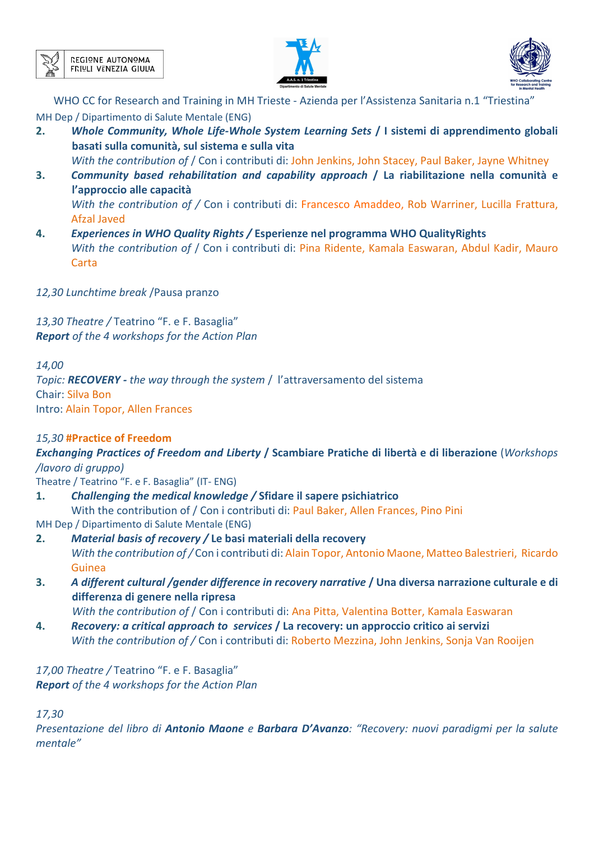





WHO CC for Research and Training in MH Trieste - Azienda per l'Assistenza Sanitaria n.1 "Triestina" MH Dep / Dipartimento di Salute Mentale (ENG)

**2.** *Whole Community, Whole Life-Whole System Learning Sets* **/ I sistemi di apprendimento globali basati sulla comunità, sul sistema e sulla vita** 

*With the contribution of* / Con i contributi di: John Jenkins, John Stacey, Paul Baker, Jayne Whitney

- **3.** *Community based rehabilitation and capability approach* **/ La riabilitazione nella comunità e l'approccio alle capacità**  *With the contribution of /* Con i contributi di: Francesco Amaddeo, Rob Warriner, Lucilla Frattura, Afzal Javed
- **4.** *Experiences in WHO Quality Rights /* **Esperienze nel programma WHO QualityRights**  *With the contribution of* / Con i contributi di: Pina Ridente, Kamala Easwaran, Abdul Kadir, Mauro **Carta**
- *12,30 Lunchtime break* /Pausa pranzo

*13,30 Theatre /* Teatrino "F. e F. Basaglia" *Report of the 4 workshops for the Action Plan* 

*14,00* 

*Topic: RECOVERY - the way through the system* / l'attraversamento del sistema Chair: Silva Bon Intro: Alain Topor, Allen Frances

# *15,30* **#Practice of Freedom**

*Exchanging Practices of Freedom and Liberty* **/ Scambiare Pratiche di libertà e di liberazione** (*Workshops /lavoro di gruppo)* 

Theatre / Teatrino "F. e F. Basaglia" (IT- ENG)

**1.** *Challenging the medical knowledge /* **Sfidare il sapere psichiatrico** 

With the contribution of / Con i contributi di: Paul Baker, Allen Frances, Pino Pini MH Dep / Dipartimento di Salute Mentale (ENG)

**2.** *Material basis of recovery /* **Le basi materiali della recovery** 

*With the contribution of /* Con i contributi di: Alain Topor, Antonio Maone, Matteo Balestrieri, Ricardo Guinea

**3.** *A different cultural /gender difference in recovery narrative* **/ Una diversa narrazione culturale e di differenza di genere nella ripresa** 

*With the contribution of / Con i contributi di: Ana Pitta, Valentina Botter, Kamala Easwaran* 

**4.** *Recovery: a critical approach to services* **/ La recovery: un approccio critico ai servizi**  *With the contribution of /* Con i contributi di: Roberto Mezzina, John Jenkins, Sonja Van Rooijen

*17,00 Theatre /* Teatrino "F. e F. Basaglia" *Report of the 4 workshops for the Action Plan* 

*17,30* 

*Presentazione del libro di Antonio Maone e Barbara D'Avanzo: "Recovery: nuovi paradigmi per la salute mentale"*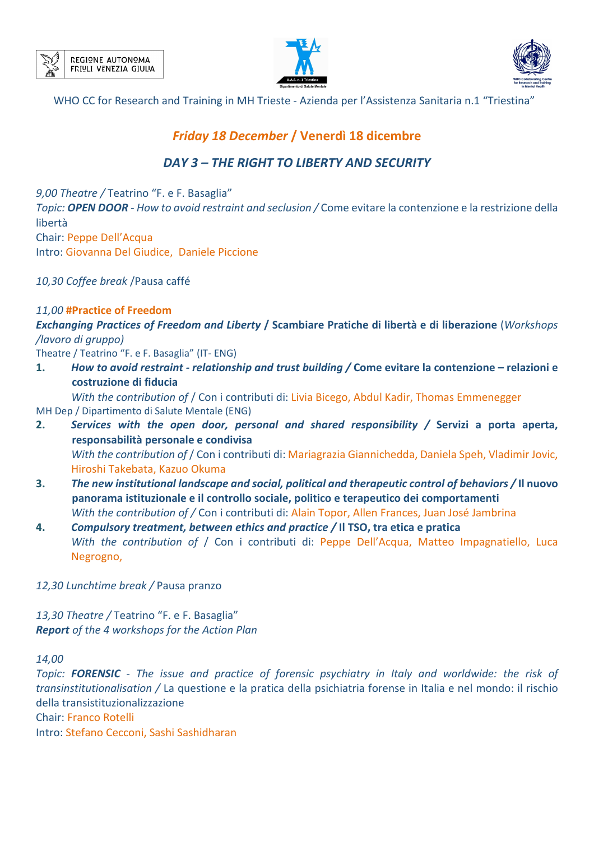





# *Friday 18 December* **/ Venerdì 18 dicembre**

# *DAY 3 – THE RIGHT TO LIBERTY AND SECURITY*

*9,00 Theatre /* Teatrino "F. e F. Basaglia" *Topic: OPEN DOOR - How to avoid restraint and seclusion /* Come evitare la contenzione e la restrizione della libertà Chair: Peppe Dell'Acqua Intro: Giovanna Del Giudice, Daniele Piccione

*10,30 Coffee break* /Pausa caffé

## *11,00* **#Practice of Freedom**

*Exchanging Practices of Freedom and Liberty* **/ Scambiare Pratiche di libertà e di liberazione** (*Workshops /lavoro di gruppo)* 

Theatre / Teatrino "F. e F. Basaglia" (IT- ENG)

**1.** *How to avoid restraint - relationship and trust building /* **Come evitare la contenzione – relazioni e costruzione di fiducia** 

*With the contribution of* / Con i contributi di: Livia Bicego, Abdul Kadir, Thomas Emmenegger MH Dep / Dipartimento di Salute Mentale (ENG)

- **2.** *Services with the open door, personal and shared responsibility /* **Servizi a porta aperta, responsabilità personale e condivisa**  *With the contribution of* / Con i contributi di: Mariagrazia Giannichedda, Daniela Speh, Vladimir Jovic, Hiroshi Takebata, Kazuo Okuma
- **3.** *The new institutional landscape and social, political and therapeutic control of behaviors /* **Il nuovo panorama istituzionale e il controllo sociale, politico e terapeutico dei comportamenti**  *With the contribution of /* Con i contributi di: Alain Topor, Allen Frances, Juan José Jambrina
- **4.** *Compulsory treatment, between ethics and practice /* **Il TSO, tra etica e pratica** *With the contribution of* / Con i contributi di: Peppe Dell'Acqua, Matteo Impagnatiello, Luca Negrogno,

### *12,30 Lunchtime break /* Pausa pranzo

*13,30 Theatre /* Teatrino "F. e F. Basaglia" *Report of the 4 workshops for the Action Plan* 

*14,00* 

*Topic: FORENSIC - The issue and practice of forensic psychiatry in Italy and worldwide: the risk of transinstitutionalisation /* La questione e la pratica della psichiatria forense in Italia e nel mondo: il rischio della transistituzionalizzazione Chair: Franco Rotelli

Intro: Stefano Cecconi, Sashi Sashidharan